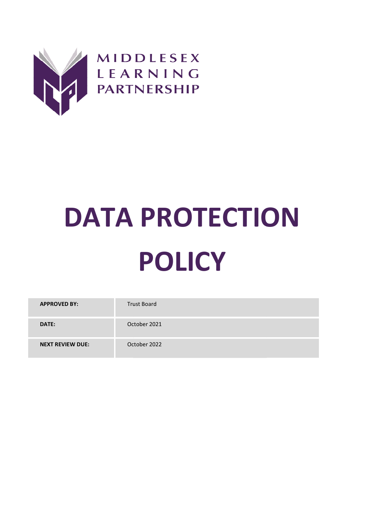

# DATA PROTECTION POLICY

| <b>APPROVED BY:</b>     | <b>Trust Board</b> |
|-------------------------|--------------------|
| DATE:                   | October 2021       |
| <b>NEXT REVIEW DUE:</b> | October 2022       |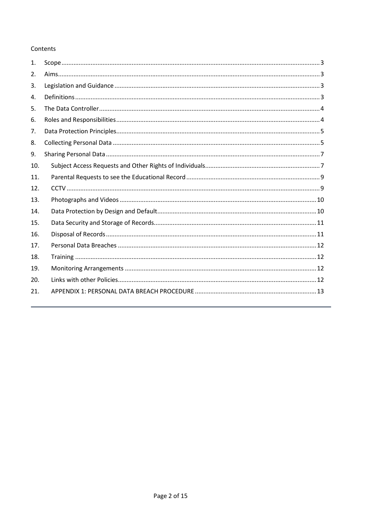## Contents

| 1.  |  |
|-----|--|
| 2.  |  |
| 3.  |  |
| 4.  |  |
| 5.  |  |
| 6.  |  |
| 7.  |  |
| 8.  |  |
| 9.  |  |
| 10. |  |
| 11. |  |
| 12. |  |
| 13. |  |
| 14. |  |
| 15. |  |
| 16. |  |
| 17. |  |
| 18. |  |
| 19. |  |
| 20. |  |
| 21. |  |
|     |  |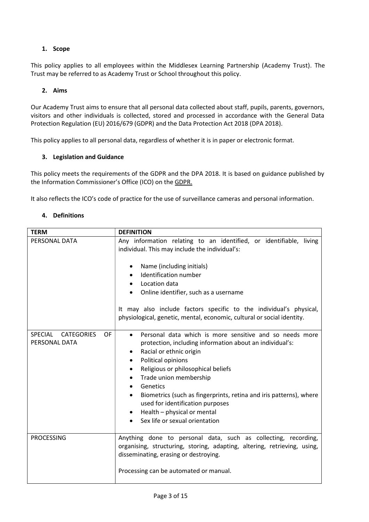# 1. Scope

This policy applies to all employees within the Middlesex Learning Partnership (Academy Trust). The Trust may be referred to as Academy Trust or School throughout this policy.

## 2. Aims

Our Academy Trust aims to ensure that all personal data collected about staff, pupils, parents, governors, visitors and other individuals is collected, stored and processed in accordance with the General Data Protection Regulation (EU) 2016/679 (GDPR) and the Data Protection Act 2018 (DPA 2018).

This policy applies to all personal data, regardless of whether it is in paper or electronic format.

## 3. Legislation and Guidance

This policy meets the requirements of the GDPR and the DPA 2018. It is based on guidance published by the Information Commissioner's Office (ICO) on the GDPR.

It also reflects the ICO's code of practice for the use of surveillance cameras and personal information.

## 4. Definitions

| <b>TERM</b>                                                       | <b>DEFINITION</b>                                                                                                                                                                                                                                                                                                                                                                                                                                                                         |
|-------------------------------------------------------------------|-------------------------------------------------------------------------------------------------------------------------------------------------------------------------------------------------------------------------------------------------------------------------------------------------------------------------------------------------------------------------------------------------------------------------------------------------------------------------------------------|
| PERSONAL DATA                                                     | Any information relating to an identified, or identifiable, living<br>individual. This may include the individual's:<br>Name (including initials)<br>٠<br>Identification number<br>Location data<br>٠<br>Online identifier, such as a username<br>It may also include factors specific to the individual's physical,                                                                                                                                                                      |
|                                                                   | physiological, genetic, mental, economic, cultural or social identity.                                                                                                                                                                                                                                                                                                                                                                                                                    |
| <b>SPECIAL</b><br><b>CATEGORIES</b><br><b>OF</b><br>PERSONAL DATA | Personal data which is more sensitive and so needs more<br>$\bullet$<br>protection, including information about an individual's:<br>Racial or ethnic origin<br>٠<br>Political opinions<br>$\bullet$<br>Religious or philosophical beliefs<br>$\bullet$<br>Trade union membership<br>٠<br>Genetics<br>$\bullet$<br>Biometrics (such as fingerprints, retina and iris patterns), where<br>used for identification purposes<br>Health - physical or mental<br>Sex life or sexual orientation |
| <b>PROCESSING</b>                                                 | Anything done to personal data, such as collecting, recording,<br>organising, structuring, storing, adapting, altering, retrieving, using,<br>disseminating, erasing or destroying.<br>Processing can be automated or manual.                                                                                                                                                                                                                                                             |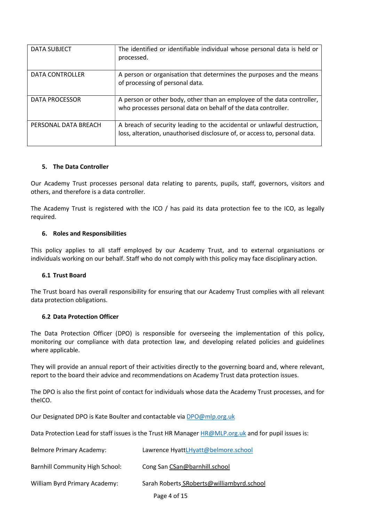| <b>DATA SUBJECT</b>    | The identified or identifiable individual whose personal data is held or<br>processed.                                                                |
|------------------------|-------------------------------------------------------------------------------------------------------------------------------------------------------|
| <b>DATA CONTROLLER</b> | A person or organisation that determines the purposes and the means<br>of processing of personal data.                                                |
| DATA PROCESSOR         | A person or other body, other than an employee of the data controller,<br>who processes personal data on behalf of the data controller.               |
| PERSONAL DATA BREACH   | A breach of security leading to the accidental or unlawful destruction,<br>loss, alteration, unauthorised disclosure of, or access to, personal data. |

## 5. The Data Controller

Our Academy Trust processes personal data relating to parents, pupils, staff, governors, visitors and others, and therefore is a data controller.

The Academy Trust is registered with the ICO / has paid its data protection fee to the ICO, as legally required.

## 6. Roles and Responsibilities

This policy applies to all staff employed by our Academy Trust, and to external organisations or individuals working on our behalf. Staff who do not comply with this policy may face disciplinary action.

## 6.1 Trust Board

The Trust board has overall responsibility for ensuring that our Academy Trust complies with all relevant data protection obligations.

## 6.2 Data Protection Officer

The Data Protection Officer (DPO) is responsible for overseeing the implementation of this policy, monitoring our compliance with data protection law, and developing related policies and guidelines where applicable.

They will provide an annual report of their activities directly to the governing board and, where relevant, report to the board their advice and recommendations on Academy Trust data protection issues.

The DPO is also the first point of contact for individuals whose data the Academy Trust processes, and for theICO.

Our Designated DPO is Kate Boulter and contactable via **DPO@mlp.org.uk** 

Data Protection Lead for staff issues is the Trust HR Manager HR@MLP.org.uk and for pupil issues is:

| Belmore Primary Academy:               | Lawrence HyattLHyatt@belmore.school       |
|----------------------------------------|-------------------------------------------|
| <b>Barnhill Community High School:</b> | Cong San CSan@barnhill.school             |
| William Byrd Primary Academy:          | Sarah Roberts SRoberts@williambyrd.school |
|                                        | Page 4 of 15                              |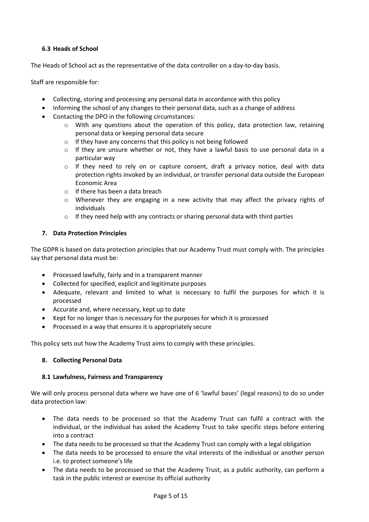# 6.3 Heads of School

The Heads of School act as the representative of the data controller on a day-to-day basis.

Staff are responsible for:

- Collecting, storing and processing any personal data in accordance with this policy
- Informing the school of any changes to their personal data, such as a change of address
- Contacting the DPO in the following circumstances:
	- $\circ$  With any questions about the operation of this policy, data protection law, retaining personal data or keeping personal data secure
	- o If they have any concerns that this policy is not being followed
	- $\circ$  If they are unsure whether or not, they have a lawful basis to use personal data in a particular way
	- $\circ$  If they need to rely on or capture consent, draft a privacy notice, deal with data protection rights invoked by an individual, or transfer personal data outside the European Economic Area
	- o If there has been a data breach
	- o Whenever they are engaging in a new activity that may affect the privacy rights of individuals
	- $\circ$  If they need help with any contracts or sharing personal data with third parties

## 7. Data Protection Principles

The GDPR is based on data protection principles that our Academy Trust must comply with. The principles say that personal data must be:

- Processed lawfully, fairly and in a transparent manner
- Collected for specified, explicit and legitimate purposes
- Adequate, relevant and limited to what is necessary to fulfil the purposes for which it is processed
- Accurate and, where necessary, kept up to date
- Kept for no longer than is necessary for the purposes for which it is processed
- Processed in a way that ensures it is appropriately secure

This policy sets out how the Academy Trust aims to comply with these principles.

## 8. Collecting Personal Data

## 8.1 Lawfulness, Fairness and Transparency

We will only process personal data where we have one of 6 'lawful bases' (legal reasons) to do so under data protection law:

- The data needs to be processed so that the Academy Trust can fulfil a contract with the individual, or the individual has asked the Academy Trust to take specific steps before entering into a contract
- The data needs to be processed so that the Academy Trust can comply with a legal obligation
- The data needs to be processed to ensure the vital interests of the individual or another person i.e. to protect someone's life
- The data needs to be processed so that the Academy Trust, as a public authority, can perform a task in the public interest or exercise its official authority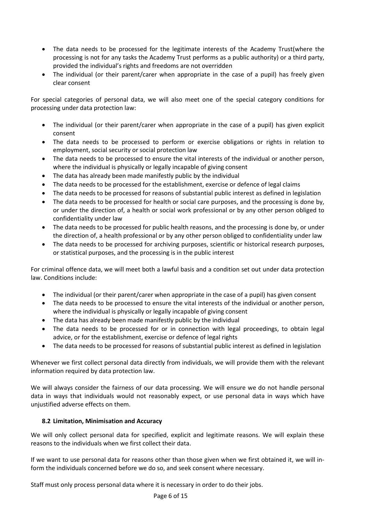- The data needs to be processed for the legitimate interests of the Academy Trust(where the processing is not for any tasks the Academy Trust performs as a public authority) or a third party, provided the individual's rights and freedoms are not overridden
- The individual (or their parent/carer when appropriate in the case of a pupil) has freely given clear consent

For special categories of personal data, we will also meet one of the special category conditions for processing under data protection law:

- The individual (or their parent/carer when appropriate in the case of a pupil) has given explicit consent
- The data needs to be processed to perform or exercise obligations or rights in relation to employment, social security or social protection law
- The data needs to be processed to ensure the vital interests of the individual or another person, where the individual is physically or legally incapable of giving consent
- The data has already been made manifestly public by the individual
- The data needs to be processed for the establishment, exercise or defence of legal claims
- The data needs to be processed for reasons of substantial public interest as defined in legislation
- The data needs to be processed for health or social care purposes, and the processing is done by, or under the direction of, a health or social work professional or by any other person obliged to confidentiality under law
- The data needs to be processed for public health reasons, and the processing is done by, or under the direction of, a health professional or by any other person obliged to confidentiality under law
- The data needs to be processed for archiving purposes, scientific or historical research purposes, or statistical purposes, and the processing is in the public interest

For criminal offence data, we will meet both a lawful basis and a condition set out under data protection law. Conditions include:

- The individual (or their parent/carer when appropriate in the case of a pupil) has given consent
- The data needs to be processed to ensure the vital interests of the individual or another person, where the individual is physically or legally incapable of giving consent
- The data has already been made manifestly public by the individual
- The data needs to be processed for or in connection with legal proceedings, to obtain legal advice, or for the establishment, exercise or defence of legal rights
- The data needs to be processed for reasons of substantial public interest as defined in legislation

Whenever we first collect personal data directly from individuals, we will provide them with the relevant information required by data protection law.

We will always consider the fairness of our data processing. We will ensure we do not handle personal data in ways that individuals would not reasonably expect, or use personal data in ways which have unjustified adverse effects on them.

# 8.2 Limitation, Minimisation and Accuracy

We will only collect personal data for specified, explicit and legitimate reasons. We will explain these reasons to the individuals when we first collect their data.

If we want to use personal data for reasons other than those given when we first obtained it, we will inform the individuals concerned before we do so, and seek consent where necessary.

Staff must only process personal data where it is necessary in order to do their jobs.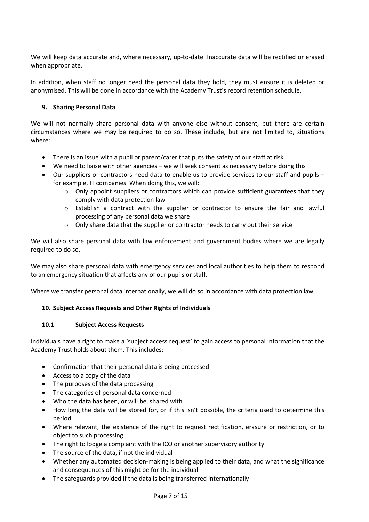We will keep data accurate and, where necessary, up-to-date. Inaccurate data will be rectified or erased when appropriate.

In addition, when staff no longer need the personal data they hold, they must ensure it is deleted or anonymised. This will be done in accordance with the Academy Trust's record retention schedule.

# 9. Sharing Personal Data

We will not normally share personal data with anyone else without consent, but there are certain circumstances where we may be required to do so. These include, but are not limited to, situations where:

- There is an issue with a pupil or parent/carer that puts the safety of our staff at risk
- We need to liaise with other agencies we will seek consent as necessary before doing this
- Our suppliers or contractors need data to enable us to provide services to our staff and pupils for example, IT companies. When doing this, we will:
	- $\circ$  Only appoint suppliers or contractors which can provide sufficient guarantees that they comply with data protection law
	- $\circ$  Establish a contract with the supplier or contractor to ensure the fair and lawful processing of any personal data we share
	- o Only share data that the supplier or contractor needs to carry out their service

We will also share personal data with law enforcement and government bodies where we are legally required to do so.

We may also share personal data with emergency services and local authorities to help them to respond to an emergency situation that affects any of our pupils or staff.

Where we transfer personal data internationally, we will do so in accordance with data protection law.

# 10. Subject Access Requests and Other Rights of Individuals

## 10.1 Subject Access Requests

Individuals have a right to make a 'subject access request' to gain access to personal information that the Academy Trust holds about them. This includes:

- Confirmation that their personal data is being processed
- Access to a copy of the data
- The purposes of the data processing
- The categories of personal data concerned
- Who the data has been, or will be, shared with
- How long the data will be stored for, or if this isn't possible, the criteria used to determine this period
- Where relevant, the existence of the right to request rectification, erasure or restriction, or to object to such processing
- The right to lodge a complaint with the ICO or another supervisory authority
- The source of the data, if not the individual
- Whether any automated decision-making is being applied to their data, and what the significance and consequences of this might be for the individual
- The safeguards provided if the data is being transferred internationally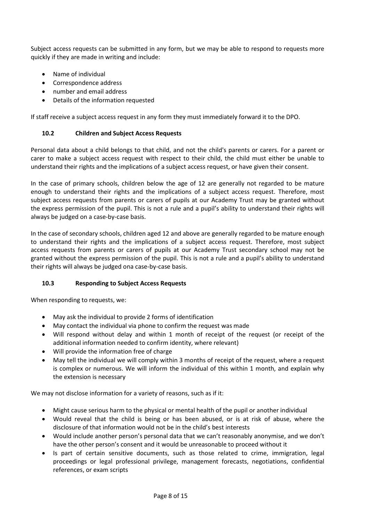Subject access requests can be submitted in any form, but we may be able to respond to requests more quickly if they are made in writing and include:

- Name of individual
- Correspondence address
- number and email address
- Details of the information requested

If staff receive a subject access request in any form they must immediately forward it to the DPO.

## 10.2 Children and Subject Access Requests

Personal data about a child belongs to that child, and not the child's parents or carers. For a parent or carer to make a subject access request with respect to their child, the child must either be unable to understand their rights and the implications of a subject access request, or have given their consent.

In the case of primary schools, children below the age of 12 are generally not regarded to be mature enough to understand their rights and the implications of a subject access request. Therefore, most subject access requests from parents or carers of pupils at our Academy Trust may be granted without the express permission of the pupil. This is not a rule and a pupil's ability to understand their rights will always be judged on a case-by-case basis.

In the case of secondary schools, children aged 12 and above are generally regarded to be mature enough to understand their rights and the implications of a subject access request. Therefore, most subject access requests from parents or carers of pupils at our Academy Trust secondary school may not be granted without the express permission of the pupil. This is not a rule and a pupil's ability to understand their rights will always be judged ona case-by-case basis.

## 10.3 Responding to Subject Access Requests

When responding to requests, we:

- May ask the individual to provide 2 forms of identification
- May contact the individual via phone to confirm the request was made
- Will respond without delay and within 1 month of receipt of the request (or receipt of the additional information needed to confirm identity, where relevant)
- Will provide the information free of charge
- May tell the individual we will comply within 3 months of receipt of the request, where a request is complex or numerous. We will inform the individual of this within 1 month, and explain why the extension is necessary

We may not disclose information for a variety of reasons, such as if it:

- Might cause serious harm to the physical or mental health of the pupil or another individual
- Would reveal that the child is being or has been abused, or is at risk of abuse, where the disclosure of that information would not be in the child's best interests
- Would include another person's personal data that we can't reasonably anonymise, and we don't have the other person's consent and it would be unreasonable to proceed without it
- Is part of certain sensitive documents, such as those related to crime, immigration, legal proceedings or legal professional privilege, management forecasts, negotiations, confidential references, or exam scripts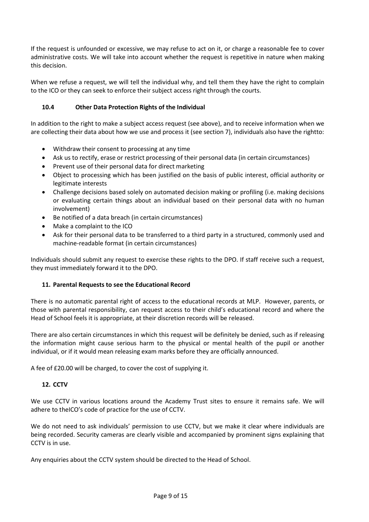If the request is unfounded or excessive, we may refuse to act on it, or charge a reasonable fee to cover administrative costs. We will take into account whether the request is repetitive in nature when making this decision.

When we refuse a request, we will tell the individual why, and tell them they have the right to complain to the ICO or they can seek to enforce their subject access right through the courts.

# 10.4 Other Data Protection Rights of the Individual

In addition to the right to make a subject access request (see above), and to receive information when we are collecting their data about how we use and process it (see section 7), individuals also have the rightto:

- Withdraw their consent to processing at any time
- Ask us to rectify, erase or restrict processing of their personal data (in certain circumstances)
- Prevent use of their personal data for direct marketing
- Object to processing which has been justified on the basis of public interest, official authority or legitimate interests
- Challenge decisions based solely on automated decision making or profiling (i.e. making decisions or evaluating certain things about an individual based on their personal data with no human involvement)
- Be notified of a data breach (in certain circumstances)
- Make a complaint to the ICO
- Ask for their personal data to be transferred to a third party in a structured, commonly used and machine-readable format (in certain circumstances)

Individuals should submit any request to exercise these rights to the DPO. If staff receive such a request, they must immediately forward it to the DPO.

# 11. Parental Requests to see the Educational Record

There is no automatic parental right of access to the educational records at MLP. However, parents, or those with parental responsibility, can request access to their child's educational record and where the Head of School feels it is appropriate, at their discretion records will be released.

There are also certain circumstances in which this request will be definitely be denied, such as if releasing the information might cause serious harm to the physical or mental health of the pupil or another individual, or if it would mean releasing exam marks before they are officially announced.

A fee of £20.00 will be charged, to cover the cost of supplying it.

# 12. CCTV

We use CCTV in various locations around the Academy Trust sites to ensure it remains safe. We will adhere to theICO's code of practice for the use of CCTV.

We do not need to ask individuals' permission to use CCTV, but we make it clear where individuals are being recorded. Security cameras are clearly visible and accompanied by prominent signs explaining that CCTV is in use.

Any enquiries about the CCTV system should be directed to the Head of School.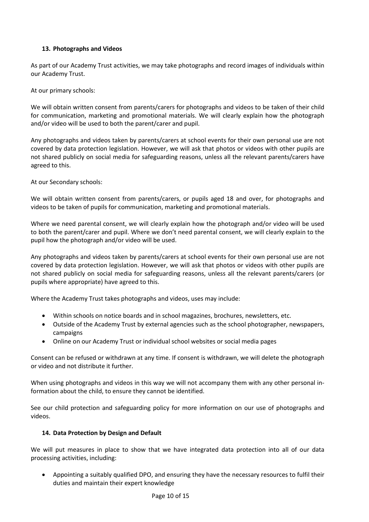# 13. Photographs and Videos

As part of our Academy Trust activities, we may take photographs and record images of individuals within our Academy Trust.

At our primary schools:

We will obtain written consent from parents/carers for photographs and videos to be taken of their child for communication, marketing and promotional materials. We will clearly explain how the photograph and/or video will be used to both the parent/carer and pupil.

Any photographs and videos taken by parents/carers at school events for their own personal use are not covered by data protection legislation. However, we will ask that photos or videos with other pupils are not shared publicly on social media for safeguarding reasons, unless all the relevant parents/carers have agreed to this.

At our Secondary schools:

We will obtain written consent from parents/carers, or pupils aged 18 and over, for photographs and videos to be taken of pupils for communication, marketing and promotional materials.

Where we need parental consent, we will clearly explain how the photograph and/or video will be used to both the parent/carer and pupil. Where we don't need parental consent, we will clearly explain to the pupil how the photograph and/or video will be used.

Any photographs and videos taken by parents/carers at school events for their own personal use are not covered by data protection legislation. However, we will ask that photos or videos with other pupils are not shared publicly on social media for safeguarding reasons, unless all the relevant parents/carers (or pupils where appropriate) have agreed to this.

Where the Academy Trust takes photographs and videos, uses may include:

- Within schools on notice boards and in school magazines, brochures, newsletters, etc.
- Outside of the Academy Trust by external agencies such as the school photographer, newspapers, campaigns
- Online on our Academy Trust or individual school websites or social media pages

Consent can be refused or withdrawn at any time. If consent is withdrawn, we will delete the photograph or video and not distribute it further.

When using photographs and videos in this way we will not accompany them with any other personal information about the child, to ensure they cannot be identified.

See our child protection and safeguarding policy for more information on our use of photographs and videos.

# 14. Data Protection by Design and Default

We will put measures in place to show that we have integrated data protection into all of our data processing activities, including:

 Appointing a suitably qualified DPO, and ensuring they have the necessary resources to fulfil their duties and maintain their expert knowledge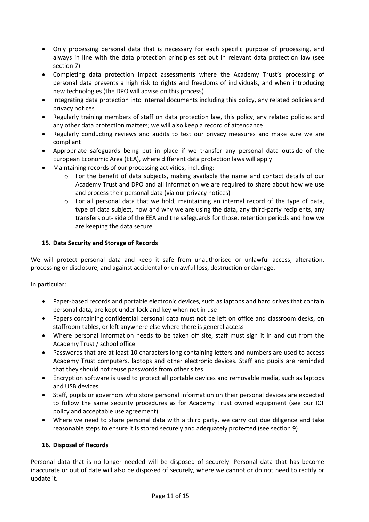- Only processing personal data that is necessary for each specific purpose of processing, and always in line with the data protection principles set out in relevant data protection law (see section 7)
- Completing data protection impact assessments where the Academy Trust's processing of personal data presents a high risk to rights and freedoms of individuals, and when introducing new technologies (the DPO will advise on this process)
- Integrating data protection into internal documents including this policy, any related policies and privacy notices
- Regularly training members of staff on data protection law, this policy, any related policies and any other data protection matters; we will also keep a record of attendance
- Regularly conducting reviews and audits to test our privacy measures and make sure we are compliant
- Appropriate safeguards being put in place if we transfer any personal data outside of the European Economic Area (EEA), where different data protection laws will apply
- Maintaining records of our processing activities, including:
	- o For the benefit of data subjects, making available the name and contact details of our Academy Trust and DPO and all information we are required to share about how we use and process their personal data (via our privacy notices)
	- $\circ$  For all personal data that we hold, maintaining an internal record of the type of data, type of data subject, how and why we are using the data, any third-party recipients, any transfers out- side of the EEA and the safeguards for those, retention periods and how we are keeping the data secure

# 15. Data Security and Storage of Records

We will protect personal data and keep it safe from unauthorised or unlawful access, alteration, processing or disclosure, and against accidental or unlawful loss, destruction or damage.

In particular:

- Paper-based records and portable electronic devices, such as laptops and hard drives that contain personal data, are kept under lock and key when not in use
- Papers containing confidential personal data must not be left on office and classroom desks, on staffroom tables, or left anywhere else where there is general access
- Where personal information needs to be taken off site, staff must sign it in and out from the Academy Trust / school office
- Passwords that are at least 10 characters long containing letters and numbers are used to access Academy Trust computers, laptops and other electronic devices. Staff and pupils are reminded that they should not reuse passwords from other sites
- Encryption software is used to protect all portable devices and removable media, such as laptops and USB devices
- Staff, pupils or governors who store personal information on their personal devices are expected to follow the same security procedures as for Academy Trust owned equipment (see our ICT policy and acceptable use agreement)
- Where we need to share personal data with a third party, we carry out due diligence and take reasonable steps to ensure it is stored securely and adequately protected (see section 9)

## 16. Disposal of Records

Personal data that is no longer needed will be disposed of securely. Personal data that has become inaccurate or out of date will also be disposed of securely, where we cannot or do not need to rectify or update it.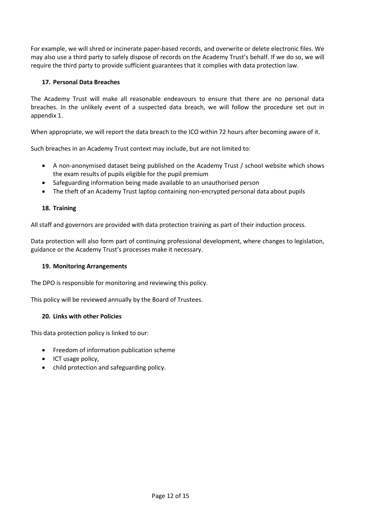For example, we will shred or incinerate paper-based records, and overwrite or delete electronic files. We may also use a third party to safely dispose of records on the Academy Trust's behalf. If we do so, we will require the third party to provide sufficient guarantees that it complies with data protection law.

# 17. Personal Data Breaches

The Academy Trust will make all reasonable endeavours to ensure that there are no personal data breaches. In the unlikely event of a suspected data breach, we will follow the procedure set out in appendix 1.

When appropriate, we will report the data breach to the ICO within 72 hours after becoming aware of it.

Such breaches in an Academy Trust context may include, but are not limited to:

- A non-anonymised dataset being published on the Academy Trust / school website which shows the exam results of pupils eligible for the pupil premium
- Safeguarding information being made available to an unauthorised person
- The theft of an Academy Trust laptop containing non-encrypted personal data about pupils

# 18. Training

All staff and governors are provided with data protection training as part of their induction process.

Data protection will also form part of continuing professional development, where changes to legislation, guidance or the Academy Trust's processes make it necessary.

## 19. Monitoring Arrangements

The DPO is responsible for monitoring and reviewing this policy.

This policy will be reviewed annually by the Board of Trustees.

## 20. Links with other Policies

This data protection policy is linked to our:

- **•** Freedom of information publication scheme
- ICT usage policy.
- child protection and safeguarding policy.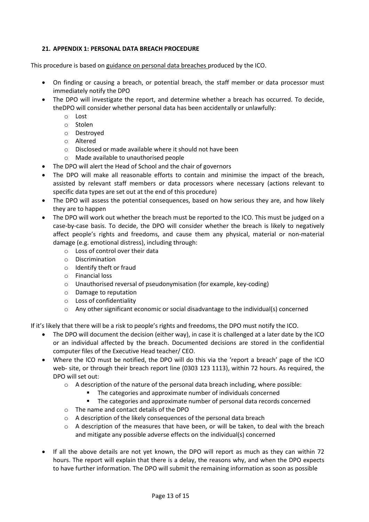# 21. APPENDIX 1: PERSONAL DATA BREACH PROCEDURE

This procedure is based on guidance on personal data breaches produced by the ICO.

- On finding or causing a breach, or potential breach, the staff member or data processor must immediately notify the DPO
- The DPO will investigate the report, and determine whether a breach has occurred. To decide, theDPO will consider whether personal data has been accidentally or unlawfully:
	- o Lost
	- o Stolen
	- o Destroyed
	- o Altered
	- o Disclosed or made available where it should not have been
	- o Made available to unauthorised people
- The DPO will alert the Head of School and the chair of governors
- The DPO will make all reasonable efforts to contain and minimise the impact of the breach, assisted by relevant staff members or data processors where necessary (actions relevant to specific data types are set out at the end of this procedure)
- The DPO will assess the potential consequences, based on how serious they are, and how likely they are to happen
- The DPO will work out whether the breach must be reported to the ICO. This must be judged on a case-by-case basis. To decide, the DPO will consider whether the breach is likely to negatively affect people's rights and freedoms, and cause them any physical, material or non-material damage (e.g. emotional distress), including through:
	- o Loss of control over their data
	- o Discrimination
	- o Identify theft or fraud
	- o Financial loss
	- o Unauthorised reversal of pseudonymisation (for example, key-coding)
	- o Damage to reputation
	- o Loss of confidentiality
	- $\circ$  Any other significant economic or social disadvantage to the individual(s) concerned

If it's likely that there will be a risk to people's rights and freedoms, the DPO must notify the ICO.

- The DPO will document the decision (either way), in case it is challenged at a later date by the ICO or an individual affected by the breach. Documented decisions are stored in the confidential computer files of the Executive Head teacher/ CEO.
- Where the ICO must be notified, the DPO will do this via the 'report a breach' page of the ICO web- site, or through their breach report line (0303 123 1113), within 72 hours. As required, the DPO will set out:
	- $\circ$  A description of the nature of the personal data breach including, where possible:
		- The categories and approximate number of individuals concerned
		- The categories and approximate number of personal data records concerned
	- o The name and contact details of the DPO
	- o A description of the likely consequences of the personal data breach
	- $\circ$  A description of the measures that have been, or will be taken, to deal with the breach and mitigate any possible adverse effects on the individual(s) concerned
- If all the above details are not yet known, the DPO will report as much as they can within 72 hours. The report will explain that there is a delay, the reasons why, and when the DPO expects to have further information. The DPO will submit the remaining information as soon as possible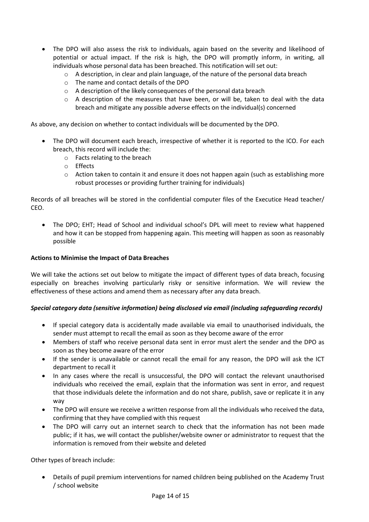- The DPO will also assess the risk to individuals, again based on the severity and likelihood of potential or actual impact. If the risk is high, the DPO will promptly inform, in writing, all individuals whose personal data has been breached. This notification will set out:
	- $\circ$  A description, in clear and plain language, of the nature of the personal data breach
	- o The name and contact details of the DPO
	- o A description of the likely consequences of the personal data breach
	- $\circ$  A description of the measures that have been, or will be, taken to deal with the data breach and mitigate any possible adverse effects on the individual(s) concerned

As above, any decision on whether to contact individuals will be documented by the DPO.

- The DPO will document each breach, irrespective of whether it is reported to the ICO. For each breach, this record will include the:
	- o Facts relating to the breach
	- o Effects
	- $\circ$  Action taken to contain it and ensure it does not happen again (such as establishing more robust processes or providing further training for individuals)

Records of all breaches will be stored in the confidential computer files of the Executice Head teacher/ CEO.

 The DPO; EHT; Head of School and individual school's DPL will meet to review what happened and how it can be stopped from happening again. This meeting will happen as soon as reasonably possible

## Actions to Minimise the Impact of Data Breaches

We will take the actions set out below to mitigate the impact of different types of data breach, focusing especially on breaches involving particularly risky or sensitive information. We will review the effectiveness of these actions and amend them as necessary after any data breach.

## Special category data (sensitive information) being disclosed via email (including safeguarding records)

- If special category data is accidentally made available via email to unauthorised individuals, the sender must attempt to recall the email as soon as they become aware of the error
- Members of staff who receive personal data sent in error must alert the sender and the DPO as soon as they become aware of the error
- If the sender is unavailable or cannot recall the email for any reason, the DPO will ask the ICT department to recall it
- In any cases where the recall is unsuccessful, the DPO will contact the relevant unauthorised individuals who received the email, explain that the information was sent in error, and request that those individuals delete the information and do not share, publish, save or replicate it in any way
- The DPO will ensure we receive a written response from all the individuals who received the data, confirming that they have complied with this request
- The DPO will carry out an internet search to check that the information has not been made public; if it has, we will contact the publisher/website owner or administrator to request that the information is removed from their website and deleted

Other types of breach include:

 Details of pupil premium interventions for named children being published on the Academy Trust / school website